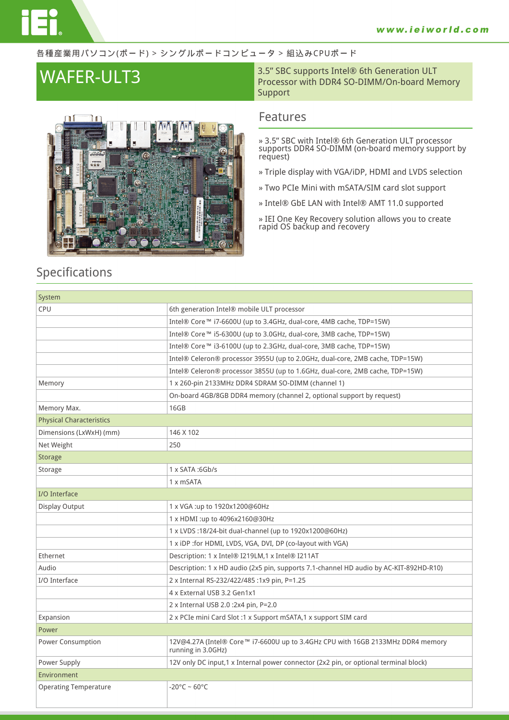### 各種産業用パソコン(ボード) > シングルボードコンピュータ > 組込みCPUボード



**WAFER-ULT3** 3.5" SBC supports Intel® 6th Generation ULT<br>Processor with DDR4 SO-DIMM/On-board Me Processor with DDR4 SO-DIMM/On-board Memory Support

## **Features**

- **» 3.5" SBC with Intel® 6th Generation ULT processor supports DDR4 SO-DIMM (on-board memory support by request)**
- **» Triple display with VGA/iDP, HDMI and LVDS selection**
- **» Two PCIe Mini with mSATA/SIM card slot support**
- **» Intel® GbE LAN with Intel® AMT 11.0 supported**
- **» IEI One Key Recovery solution allows you to create rapid OS backup and recovery**

## **Specifications**

| System                          |                                                                                                       |  |
|---------------------------------|-------------------------------------------------------------------------------------------------------|--|
| <b>CPU</b>                      | 6th generation Intel® mobile ULT processor                                                            |  |
|                                 | Intel® Core™ i7-6600U (up to 3.4GHz, dual-core, 4MB cache, TDP=15W)                                   |  |
|                                 | Intel® Core™ i5-6300U (up to 3.0GHz, dual-core, 3MB cache, TDP=15W)                                   |  |
|                                 | Intel® Core™ i3-6100U (up to 2.3GHz, dual-core, 3MB cache, TDP=15W)                                   |  |
|                                 | Intel® Celeron® processor 3955U (up to 2.0GHz, dual-core, 2MB cache, TDP=15W)                         |  |
|                                 | Intel® Celeron® processor 3855U (up to 1.6GHz, dual-core, 2MB cache, TDP=15W)                         |  |
| Memory                          | 1 x 260-pin 2133MHz DDR4 SDRAM SO-DIMM (channel 1)                                                    |  |
|                                 | On-board 4GB/8GB DDR4 memory (channel 2, optional support by request)                                 |  |
| Memory Max.                     | 16GB                                                                                                  |  |
| <b>Physical Characteristics</b> |                                                                                                       |  |
| Dimensions (LxWxH) (mm)         | 146 X 102                                                                                             |  |
| Net Weight                      | 250                                                                                                   |  |
| <b>Storage</b>                  |                                                                                                       |  |
| Storage                         | $1 \times$ SATA : 6Gb/s                                                                               |  |
|                                 | 1 x mSATA                                                                                             |  |
| I/O Interface                   |                                                                                                       |  |
| Display Output                  | 1 x VGA :up to 1920x1200@60Hz                                                                         |  |
|                                 | 1 x HDMI :up to 4096x2160@30Hz                                                                        |  |
|                                 | 1 x LVDS :18/24-bit dual-channel (up to 1920x1200@60Hz)                                               |  |
|                                 | 1 x iDP : for HDMI, LVDS, VGA, DVI, DP (co-layout with VGA)                                           |  |
| Ethernet                        | Description: 1 x Intel® I219LM,1 x Intel® I211AT                                                      |  |
| Audio                           | Description: 1 x HD audio (2x5 pin, supports 7.1-channel HD audio by AC-KIT-892HD-R10)                |  |
| I/O Interface                   | 2 x Internal RS-232/422/485 :1x9 pin, P=1.25                                                          |  |
|                                 | 4 x External USB 3.2 Gen1x1                                                                           |  |
|                                 | 2 x Internal USB 2.0 :2x4 pin, P=2.0                                                                  |  |
| Expansion                       | 2 x PCIe mini Card Slot :1 x Support mSATA,1 x support SIM card                                       |  |
| Power                           |                                                                                                       |  |
| Power Consumption               | 12V@4.27A (Intel® Core™ i7-6600U up to 3.4GHz CPU with 16GB 2133MHz DDR4 memory<br>running in 3.0GHz) |  |
| Power Supply                    | 12V only DC input,1 x Internal power connector (2x2 pin, or optional terminal block)                  |  |
| Environment                     |                                                                                                       |  |
| <b>Operating Temperature</b>    | $-20^{\circ}$ C ~ 60°C                                                                                |  |